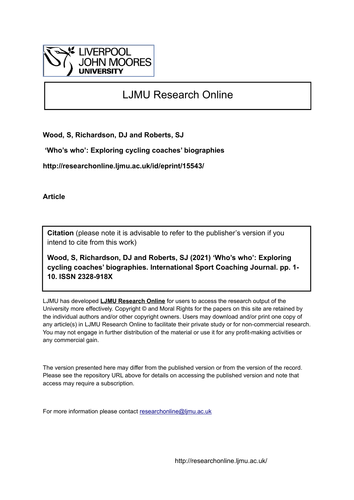

# LJMU Research Online

**Wood, S, Richardson, DJ and Roberts, SJ**

 **'Who's who': Exploring cycling coaches' biographies**

**http://researchonline.ljmu.ac.uk/id/eprint/15543/**

**Article**

**Citation** (please note it is advisable to refer to the publisher's version if you intend to cite from this work)

**Wood, S, Richardson, DJ and Roberts, SJ (2021) 'Who's who': Exploring cycling coaches' biographies. International Sport Coaching Journal. pp. 1- 10. ISSN 2328-918X** 

LJMU has developed **[LJMU Research Online](http://researchonline.ljmu.ac.uk/)** for users to access the research output of the University more effectively. Copyright © and Moral Rights for the papers on this site are retained by the individual authors and/or other copyright owners. Users may download and/or print one copy of any article(s) in LJMU Research Online to facilitate their private study or for non-commercial research. You may not engage in further distribution of the material or use it for any profit-making activities or any commercial gain.

The version presented here may differ from the published version or from the version of the record. Please see the repository URL above for details on accessing the published version and note that access may require a subscription.

For more information please contact [researchonline@ljmu.ac.uk](mailto:researchonline@ljmu.ac.uk)

http://researchonline.ljmu.ac.uk/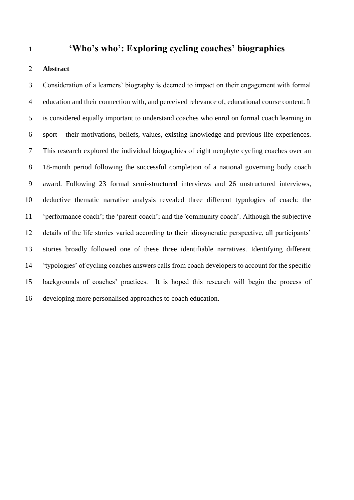# **'Who's who': Exploring cycling coaches' biographies**

# **Abstract**

 Consideration of a learners' biography is deemed to impact on their engagement with formal education and their connection with, and perceived relevance of, educational course content. It is considered equally important to understand coaches who enrol on formal coach learning in sport – their motivations, beliefs, values, existing knowledge and previous life experiences. This research explored the individual biographies of eight neophyte cycling coaches over an 18-month period following the successful completion of a national governing body coach award. Following 23 formal semi-structured interviews and 26 unstructured interviews*,* deductive thematic narrative analysis revealed three different typologies of coach: the 'performance coach'; the 'parent-coach'; and the 'community coach'. Although the subjective details of the life stories varied according to their idiosyncratic perspective, all participants' stories broadly followed one of these three identifiable narratives. Identifying different 'typologies' of cycling coaches answers calls from coach developers to account for the specific backgrounds of coaches' practices. It is hoped this research will begin the process of developing more personalised approaches to coach education.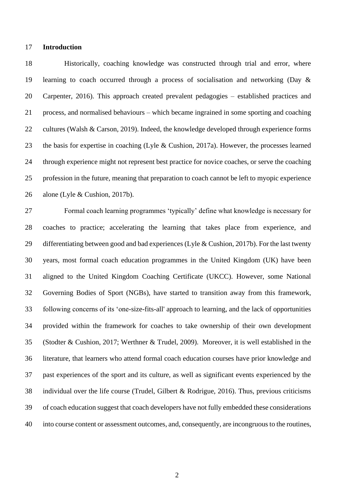#### **Introduction**

 Historically, coaching knowledge was constructed through trial and error, where learning to coach occurred through a process of socialisation and networking (Day & Carpenter, 2016). This approach created prevalent pedagogies – established practices and process, and normalised behaviours – which became ingrained in some sporting and coaching cultures (Walsh & Carson, 2019). Indeed, the knowledge developed through experience forms the basis for expertise in coaching (Lyle & Cushion, 2017a). However, the processes learned through experience might not represent best practice for novice coaches, or serve the coaching profession in the future, meaning that preparation to coach cannot be left to myopic experience alone (Lyle & Cushion, 2017b).

 Formal coach learning programmes 'typically' define what knowledge is necessary for coaches to practice; accelerating the learning that takes place from experience, and differentiating between good and bad experiences (Lyle & Cushion, 2017b). For the last twenty years, most formal coach education programmes in the United Kingdom (UK) have been aligned to the United Kingdom Coaching Certificate (UKCC). However, some National Governing Bodies of Sport (NGBs), have started to transition away from this framework, following concerns of its 'one-size-fits-all' approach to learning, and the lack of opportunities provided within the framework for coaches to take ownership of their own development (Stodter & Cushion, 2017; Werthner & Trudel, 2009). Moreover, it is well established in the literature, that learners who attend formal coach education courses have prior knowledge and past experiences of the sport and its culture, as well as significant events experienced by the individual over the life course (Trudel, Gilbert & Rodrigue, 2016). Thus, previous criticisms of coach education suggest that coach developers have not fully embedded these considerations into course content or assessment outcomes, and, consequently, are incongruous to the routines,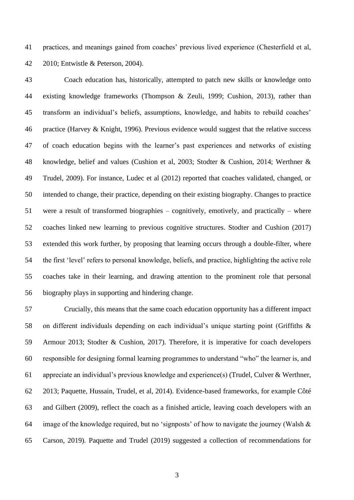practices, and meanings gained from coaches' previous lived experience (Chesterfield et al, 2010; Entwistle & Peterson, 2004).

 Coach education has, historically, attempted to patch new skills or knowledge onto existing knowledge frameworks (Thompson & Zeuli, 1999; Cushion, 2013), rather than transform an individual's beliefs, assumptions, knowledge, and habits to rebuild coaches' practice (Harvey & Knight, 1996). Previous evidence would suggest that the relative success of coach education begins with the learner's past experiences and networks of existing knowledge, belief and values (Cushion et al, 2003; Stodter & Cushion, 2014; Werthner & Trudel, 2009). For instance, Ludec et al (2012) reported that coaches validated, changed, or intended to change, their practice, depending on their existing biography. Changes to practice were a result of transformed biographies – cognitively, emotively, and practically – where coaches linked new learning to previous cognitive structures. Stodter and Cushion (2017) extended this work further, by proposing that learning occurs through a double-filter, where the first 'level' refers to personal knowledge, beliefs, and practice, highlighting the active role coaches take in their learning, and drawing attention to the prominent role that personal biography plays in supporting and hindering change.

 Crucially, this means that the same coach education opportunity has a different impact on different individuals depending on each individual's unique starting point (Griffiths & Armour 2013; Stodter & Cushion, 2017). Therefore, it is imperative for coach developers responsible for designing formal learning programmes to understand "who" the learner is, and appreciate an individual's previous knowledge and experience(s) (Trudel, Culver & Werthner, 2013; Paquette, Hussain, Trudel, et al, 2014). Evidence-based frameworks, for example Côté and Gilbert (2009), reflect the coach as a finished article, leaving coach developers with an image of the knowledge required, but no 'signposts' of how to navigate the journey (Walsh & Carson, 2019). Paquette and Trudel (2019) suggested a collection of recommendations for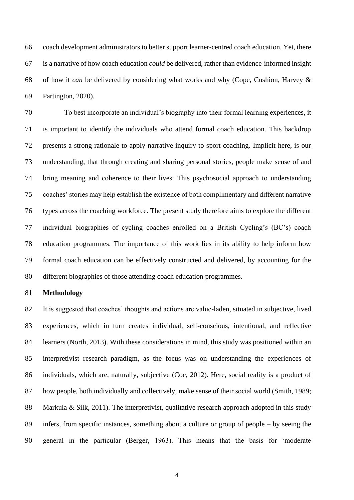coach development administrators to better support learner-centred coach education. Yet, there is a narrative of how coach education *could* be delivered, rather than evidence-informed insight of how it *can* be delivered by considering what works and why (Cope, Cushion, Harvey & Partington, 2020).

 To best incorporate an individual's biography into their formal learning experiences, it is important to identify the individuals who attend formal coach education. This backdrop presents a strong rationale to apply narrative inquiry to sport coaching. Implicit here, is our understanding, that through creating and sharing personal stories, people make sense of and bring meaning and coherence to their lives. This psychosocial approach to understanding coaches' stories may help establish the existence of both complimentary and different narrative types across the coaching workforce. The present study therefore aims to explore the different individual biographies of cycling coaches enrolled on a British Cycling's (BC's) coach education programmes. The importance of this work lies in its ability to help inform how formal coach education can be effectively constructed and delivered, by accounting for the different biographies of those attending coach education programmes.

#### **Methodology**

 It is suggested that coaches' thoughts and actions are value-laden, situated in subjective, lived experiences, which in turn creates individual, self-conscious, intentional, and reflective learners (North, 2013). With these considerations in mind, this study was positioned within an interpretivist research paradigm, as the focus was on understanding the experiences of individuals, which are, naturally, subjective (Coe, 2012). Here, social reality is a product of 87 how people, both individually and collectively, make sense of their social world (Smith, 1989; 88 Markula & Silk, 2011). The interpretivist, qualitative research approach adopted in this study infers, from specific instances, something about a culture or group of people – by seeing the general in the particular (Berger, 1963). This means that the basis for 'moderate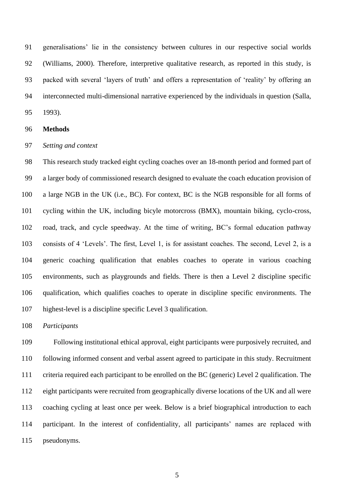generalisations' lie in the consistency between cultures in our respective social worlds (Williams, 2000). Therefore, interpretive qualitative research, as reported in this study, is packed with several 'layers of truth' and offers a representation of 'reality' by offering an interconnected multi-dimensional narrative experienced by the individuals in question (Salla, 1993).

#### **Methods**

#### *Setting and context*

 This research study tracked eight cycling coaches over an 18-month period and formed part of a larger body of commissioned research designed to evaluate the coach education provision of a large NGB in the UK (i.e., BC). For context, BC is the NGB responsible for all forms of cycling within the UK, including bicyle motorcross (BMX), mountain biking, cyclo-cross, road, track, and cycle speedway. At the time of writing, BC's formal education pathway consists of 4 'Levels'. The first, Level 1, is for assistant coaches. The second, Level 2, is a generic coaching qualification that enables coaches to operate in various coaching environments, such as playgrounds and fields. There is then a Level 2 discipline specific qualification, which qualifies coaches to operate in discipline specific environments. The highest-level is a discipline specific Level 3 qualification.

# *Participants*

 Following institutional ethical approval, eight participants were purposively recruited, and following informed consent and verbal assent agreed to participate in this study. Recruitment criteria required each participant to be enrolled on the BC (generic) Level 2 qualification. The eight participants were recruited from geographically diverse locations of the UK and all were coaching cycling at least once per week. Below is a brief biographical introduction to each participant. In the interest of confidentiality, all participants' names are replaced with pseudonyms.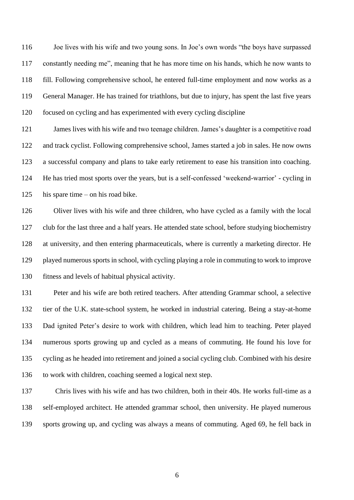Joe lives with his wife and two young sons. In Joe's own words "the boys have surpassed constantly needing me", meaning that he has more time on his hands, which he now wants to fill. Following comprehensive school, he entered full-time employment and now works as a General Manager. He has trained for triathlons, but due to injury, has spent the last five years focused on cycling and has experimented with every cycling discipline

121 James lives with his wife and two teenage children. James's daughter is a competitive road and track cyclist. Following comprehensive school, James started a job in sales. He now owns a successful company and plans to take early retirement to ease his transition into coaching. He has tried most sports over the years, but is a self-confessed 'weekend-warrior' - cycling in his spare time – on his road bike.

 Oliver lives with his wife and three children, who have cycled as a family with the local club for the last three and a half years. He attended state school, before studying biochemistry at university, and then entering pharmaceuticals, where is currently a marketing director. He played numerous sports in school, with cycling playing a role in commuting to work to improve fitness and levels of habitual physical activity.

 Peter and his wife are both retired teachers. After attending Grammar school, a selective tier of the U.K. state-school system, he worked in industrial catering. Being a stay-at-home Dad ignited Peter's desire to work with children, which lead him to teaching. Peter played numerous sports growing up and cycled as a means of commuting. He found his love for cycling as he headed into retirement and joined a social cycling club. Combined with his desire to work with children, coaching seemed a logical next step.

 Chris lives with his wife and has two children, both in their 40s. He works full-time as a self-employed architect. He attended grammar school, then university. He played numerous sports growing up, and cycling was always a means of commuting. Aged 69, he fell back in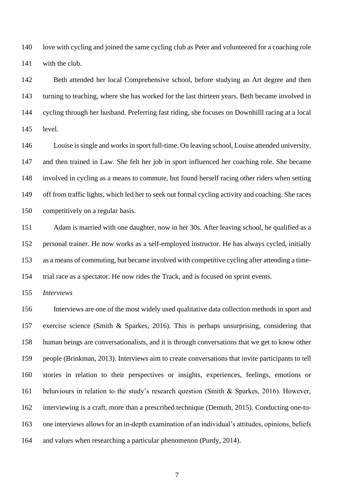love with cycling and joined the same cycling club as Peter and volunteered for a coaching role with the club.

 Beth attended her local Comprehensive school, before studying an Art degree and then turning to teaching, where she has worked for the last thirteen years. Beth became involved in cycling through her husband. Preferring fast riding, she focuses on Downhilll racing at a local level.

 Louise is single and works in sport full-time. On leaving school, Louise attended university, and then trained in Law. She felt her job in sport influenced her coaching role. She became involved in cycling as a means to commute, but found herself racing other riders when setting off from traffic lights, which led her to seek out formal cycling activity and coaching. She races competitively on a regular basis.

 Adam is married with one daughter, now in her 30s. After leaving school, he qualified as a personal trainer. He now works as a self-employed instructor. He has always cycled, initially as a means of commuting, but became involved with competitive cycling after attending a time-trial race as a spectator. He now rides the Track, and is focused on sprint events.

*Interviews*

 Interviews are one of the most widely used qualitative data collection methods in sport and exercise science (Smith & Sparkes, 2016). This is perhaps unsurprising, considering that human beings are conversationalists, and it is through conversations that we get to know other people (Brinkman, 2013). Interviews aim to create conversations that invite participants to tell stories in relation to their perspectives or insights, experiences, feelings, emotions or behaviours in relation to the study's research question (Smith & Sparkes, 2016). However, interviewing is a craft, more than a prescribed technique (Demuth, 2015). Conducting one-to- one interviews allows for an in-depth examination of an individual's attitudes, opinions, beliefs and values when researching a particular phenomenon (Purdy, 2014).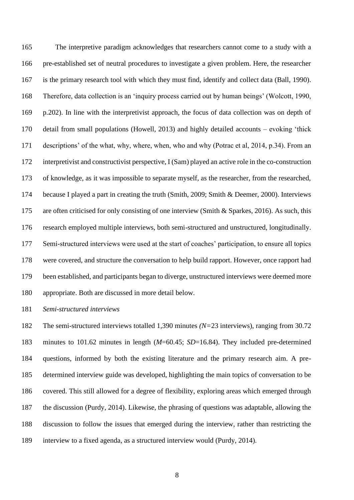The interpretive paradigm acknowledges that researchers cannot come to a study with a pre-established set of neutral procedures to investigate a given problem. Here, the researcher is the primary research tool with which they must find, identify and collect data (Ball, 1990). Therefore, data collection is an 'inquiry process carried out by human beings' (Wolcott, 1990, p.202). In line with the interpretivist approach, the focus of data collection was on depth of detail from small populations (Howell, 2013) and highly detailed accounts – evoking 'thick descriptions' of the what, why, where, when, who and why (Potrac et al, 2014, p.34). From an interpretivist and constructivist perspective, I (Sam) played an active role in the co-construction of knowledge, as it was impossible to separate myself, as the researcher, from the researched, because I played a part in creating the truth (Smith, 2009; Smith & Deemer, 2000). Interviews are often criticised for only consisting of one interview (Smith & Sparkes, 2016). As such, this research employed multiple interviews, both semi-structured and unstructured, longitudinally. Semi-structured interviews were used at the start of coaches' participation, to ensure all topics were covered, and structure the conversation to help build rapport. However, once rapport had been established, and participants began to diverge, unstructured interviews were deemed more appropriate. Both are discussed in more detail below.

*Semi-structured interviews*

 The semi-structured interviews totalled 1,390 minutes *(N=*23 interviews), ranging from 30.72 minutes to 101.62 minutes in length (*M*=60.45; *SD*=16.84). They included pre-determined questions, informed by both the existing literature and the primary research aim. A pre- determined interview guide was developed, highlighting the main topics of conversation to be covered. This still allowed for a degree of flexibility, exploring areas which emerged through the discussion (Purdy, 2014). Likewise, the phrasing of questions was adaptable, allowing the discussion to follow the issues that emerged during the interview, rather than restricting the interview to a fixed agenda, as a structured interview would (Purdy, 2014).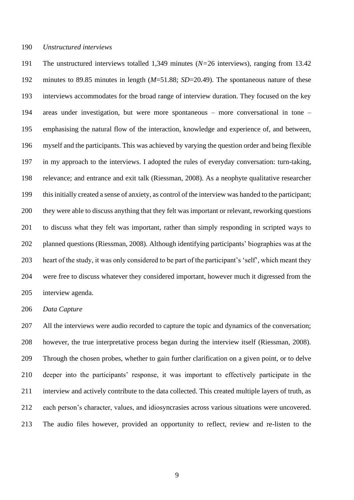#### *Unstructured interviews*

 The unstructured interviews totalled 1,349 minutes (*N=*26 interviews), ranging from 13.42 minutes to 89.85 minutes in length (*M*=51.88; *SD*=20.49). The spontaneous nature of these interviews accommodates for the broad range of interview duration. They focused on the key areas under investigation, but were more spontaneous – more conversational in tone – emphasising the natural flow of the interaction, knowledge and experience of, and between, myself and the participants. This was achieved by varying the question order and being flexible in my approach to the interviews. I adopted the rules of everyday conversation: turn-taking, relevance; and entrance and exit talk (Riessman, 2008). As a neophyte qualitative researcher this initially created a sense of anxiety, as control of the interview was handed to the participant; they were able to discuss anything that they felt was important or relevant, reworking questions to discuss what they felt was important, rather than simply responding in scripted ways to planned questions (Riessman, 2008). Although identifying participants' biographies was at the heart of the study, it was only considered to be part of the participant's 'self', which meant they were free to discuss whatever they considered important, however much it digressed from the interview agenda.

# *Data Capture*

 All the interviews were audio recorded to capture the topic and dynamics of the conversation; however, the true interpretative process began during the interview itself (Riessman, 2008). Through the chosen probes, whether to gain further clarification on a given point, or to delve deeper into the participants' response, it was important to effectively participate in the interview and actively contribute to the data collected. This created multiple layers of truth, as each person's character, values, and idiosyncrasies across various situations were uncovered. The audio files however, provided an opportunity to reflect, review and re-listen to the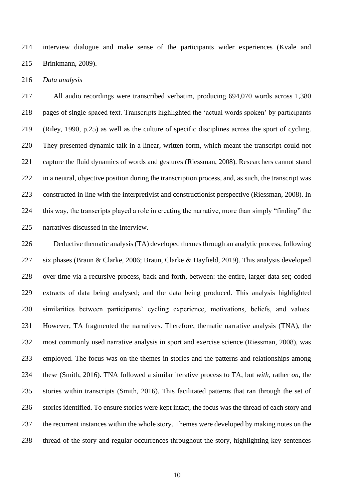interview dialogue and make sense of the participants wider experiences (Kvale and Brinkmann, 2009).

*Data analysis*

 All audio recordings were transcribed verbatim, producing 694,070 words across 1,380 pages of single-spaced text. Transcripts highlighted the 'actual words spoken' by participants (Riley, 1990, p.25) as well as the culture of specific disciplines across the sport of cycling. They presented dynamic talk in a linear, written form, which meant the transcript could not capture the fluid dynamics of words and gestures (Riessman, 2008). Researchers cannot stand in a neutral, objective position during the transcription process, and, as such, the transcript was constructed in line with the interpretivist and constructionist perspective (Riessman, 2008). In this way, the transcripts played a role in creating the narrative, more than simply "finding" the narratives discussed in the interview.

 Deductive thematic analysis (TA) developed themes through an analytic process, following six phases (Braun & Clarke, 2006; Braun, Clarke & Hayfield, 2019). This analysis developed over time via a recursive process, back and forth, between: the entire, larger data set; coded extracts of data being analysed; and the data being produced. This analysis highlighted similarities between participants' cycling experience, motivations, beliefs, and values. However, TA fragmented the narratives. Therefore, thematic narrative analysis (TNA), the most commonly used narrative analysis in sport and exercise science (Riessman, 2008), was employed. The focus was on the themes in stories and the patterns and relationships among these (Smith, 2016). TNA followed a similar iterative process to TA, but *with*, rather *on,* the stories within transcripts (Smith, 2016). This facilitated patterns that ran through the set of stories identified. To ensure stories were kept intact, the focus was the thread of each story and the recurrent instances within the whole story. Themes were developed by making notes on the thread of the story and regular occurrences throughout the story, highlighting key sentences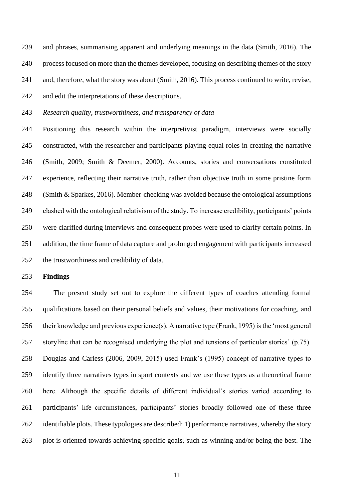and phrases, summarising apparent and underlying meanings in the data (Smith, 2016). The process focused on more than the themes developed, focusing on describing themes of the story and, therefore, what the story was about (Smith, 2016). This process continued to write, revise, and edit the interpretations of these descriptions.

*Research quality, trustworthiness, and transparency of data*

 Positioning this research within the interpretivist paradigm, interviews were socially constructed, with the researcher and participants playing equal roles in creating the narrative (Smith, 2009; Smith & Deemer, 2000). Accounts, stories and conversations constituted experience, reflecting their narrative truth, rather than objective truth in some pristine form (Smith & Sparkes, 2016). Member-checking was avoided because the ontological assumptions clashed with the ontological relativism of the study. To increase credibility, participants' points were clarified during interviews and consequent probes were used to clarify certain points. In addition, the time frame of data capture and prolonged engagement with participants increased the trustworthiness and credibility of data.

# **Findings**

 The present study set out to explore the different types of coaches attending formal qualifications based on their personal beliefs and values, their motivations for coaching, and their knowledge and previous experience(s). A narrative type (Frank, 1995) is the 'most general storyline that can be recognised underlying the plot and tensions of particular stories' (p.75). Douglas and Carless (2006, 2009, 2015) used Frank's (1995) concept of narrative types to identify three narratives types in sport contexts and we use these types as a theoretical frame here. Although the specific details of different individual's stories varied according to participants' life circumstances, participants' stories broadly followed one of these three identifiable plots. These typologies are described: 1) performance narratives, whereby the story plot is oriented towards achieving specific goals, such as winning and/or being the best. The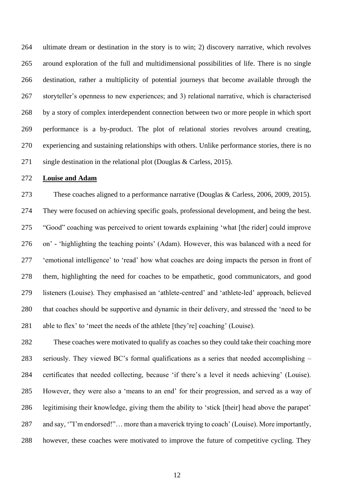ultimate dream or destination in the story is to win; 2) discovery narrative, which revolves around exploration of the full and multidimensional possibilities of life. There is no single destination, rather a multiplicity of potential journeys that become available through the storyteller's openness to new experiences; and 3) relational narrative, which is characterised by a story of complex interdependent connection between two or more people in which sport performance is a by-product. The plot of relational stories revolves around creating, experiencing and sustaining relationships with others. Unlike performance stories, there is no single destination in the relational plot (Douglas & Carless, 2015).

# **Louise and Adam**

 These coaches aligned to a performance narrative (Douglas & Carless, 2006, 2009, 2015). They were focused on achieving specific goals, professional development, and being the best. "Good" coaching was perceived to orient towards explaining 'what [the rider] could improve on' - 'highlighting the teaching points' (Adam). However, this was balanced with a need for 'emotional intelligence' to 'read' how what coaches are doing impacts the person in front of them, highlighting the need for coaches to be empathetic, good communicators, and good listeners (Louise). They emphasised an 'athlete-centred' and 'athlete-led' approach, believed that coaches should be supportive and dynamic in their delivery, and stressed the 'need to be able to flex' to 'meet the needs of the athlete [they're] coaching' (Louise).

 These coaches were motivated to qualify as coaches so they could take their coaching more seriously. They viewed BC's formal qualifications as a series that needed accomplishing – certificates that needed collecting, because 'if there's a level it needs achieving' (Louise). However, they were also a 'means to an end' for their progression, and served as a way of legitimising their knowledge, giving them the ability to 'stick [their] head above the parapet' and say, '"I'm endorsed!"… more than a maverick trying to coach' (Louise). More importantly, however, these coaches were motivated to improve the future of competitive cycling. They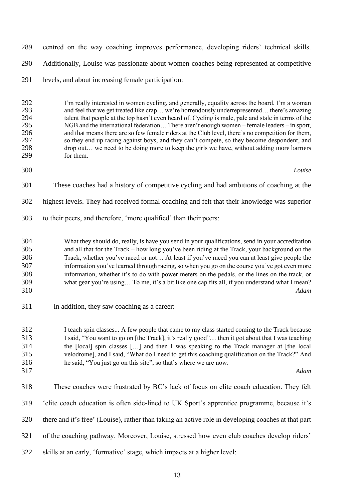centred on the way coaching improves performance, developing riders' technical skills. Additionally, Louise was passionate about women coaches being represented at competitive

levels, and about increasing female participation:

292 I'm really interested in women cycling, and generally, equality across the board. I'm a woman<br>293 and feel that we get treated like crap... we're horrendously underrepresented... there's amazing and feel that we get treated like crap… we're horrendously underrepresented… there's amazing talent that people at the top hasn't even heard of. Cycling is male, pale and stale in terms of the 295 NGB and the international federation... There aren't enough women – female leaders – in sport,<br>296 and that means there are so few female riders at the Club level, there's no competition for them, 296 and that means there are so few female riders at the Club level, there's no competition for them,<br>297 so they end up racing against boys, and they can't compete, so they become despondent, and 297 so they end up racing against boys, and they can't compete, so they become despondent, and<br>298 drop out... we need to be doing more to keep the girls we have, without adding more barriers 298 drop out... we need to be doing more to keep the girls we have, without adding more barriers for them. for them.

- *Louise*
- These coaches had a history of competitive cycling and had ambitions of coaching at the
- highest levels. They had received formal coaching and felt that their knowledge was superior
- to their peers, and therefore, 'more qualified' than their peers:
- What they should do, really, is have you send in your qualifications, send in your accreditation and all that for the Track – how long you've been riding at the Track, your background on the Track, whether you've raced or not… At least if you've raced you can at least give people the information you've learned through racing, so when you go on the course you've got even more information, whether it's to do with power meters on the pedals, or the lines on the track, or what gear you're using… To me, it's a bit like one cap fits all, if you understand what I mean? *Adam*
- In addition, they saw coaching as a career:

 I teach spin classes... A few people that came to my class started coming to the Track because I said, "You want to go on [the Track], it's really good"… then it got about that I was teaching the [local] spin classes […] and then I was speaking to the Track manager at [the local velodrome], and I said, "What do I need to get this coaching qualification on the Track?" And he said, "You just go on this site", so that's where we are now.

- 
- *Adam*
- These coaches were frustrated by BC's lack of focus on elite coach education. They felt
- 'elite coach education is often side-lined to UK Sport's apprentice programme, because it's
- there and it's free' (Louise), rather than taking an active role in developing coaches at that part
- of the coaching pathway. Moreover, Louise, stressed how even club coaches develop riders'
- skills at an early, 'formative' stage, which impacts at a higher level: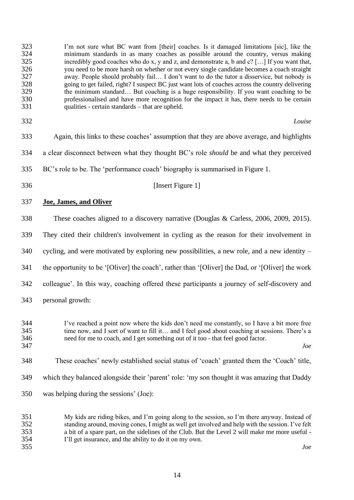| 323<br>324<br>325<br>326<br>327<br>328<br>329<br>330<br>331 | I'm not sure what BC want from [their] coaches. Is it damaged limitations [sic], like the<br>minimum standards in as many coaches as possible around the country, versus making<br>incredibly good coaches who do x, y and z, and demonstrate a, b and $c$ ? [] If you want that,<br>you need to be more harsh on whether or not every single candidate becomes a coach straight<br>away. People should probably fail I don't want to do the tutor a disservice, but nobody is<br>going to get failed, right? I suspect BC just want lots of coaches across the country delivering<br>the minimum standard But coaching is a huge responsibility. If you want coaching to be<br>professionalised and have more recognition for the impact it has, there needs to be certain<br>qualities - certain standards – that are upheld. |
|-------------------------------------------------------------|---------------------------------------------------------------------------------------------------------------------------------------------------------------------------------------------------------------------------------------------------------------------------------------------------------------------------------------------------------------------------------------------------------------------------------------------------------------------------------------------------------------------------------------------------------------------------------------------------------------------------------------------------------------------------------------------------------------------------------------------------------------------------------------------------------------------------------|
| 332                                                         | Louise                                                                                                                                                                                                                                                                                                                                                                                                                                                                                                                                                                                                                                                                                                                                                                                                                          |
| 333                                                         | Again, this links to these coaches' assumption that they are above average, and highlights                                                                                                                                                                                                                                                                                                                                                                                                                                                                                                                                                                                                                                                                                                                                      |
| 334                                                         | a clear disconnect between what they thought BC's role should be and what they perceived                                                                                                                                                                                                                                                                                                                                                                                                                                                                                                                                                                                                                                                                                                                                        |
| 335                                                         | BC's role to be. The 'performance coach' biography is summarised in Figure 1.                                                                                                                                                                                                                                                                                                                                                                                                                                                                                                                                                                                                                                                                                                                                                   |
| 336                                                         | [Insert Figure 1]                                                                                                                                                                                                                                                                                                                                                                                                                                                                                                                                                                                                                                                                                                                                                                                                               |
| 337                                                         | <b>Joe, James, and Oliver</b>                                                                                                                                                                                                                                                                                                                                                                                                                                                                                                                                                                                                                                                                                                                                                                                                   |
| 338                                                         | These coaches aligned to a discovery narrative (Douglas & Carless, 2006, 2009, 2015).                                                                                                                                                                                                                                                                                                                                                                                                                                                                                                                                                                                                                                                                                                                                           |
| 339                                                         | They cited their children's involvement in cycling as the reason for their involvement in                                                                                                                                                                                                                                                                                                                                                                                                                                                                                                                                                                                                                                                                                                                                       |
| 340                                                         | cycling, and were motivated by exploring new possibilities, a new role, and a new identity -                                                                                                                                                                                                                                                                                                                                                                                                                                                                                                                                                                                                                                                                                                                                    |
| 341                                                         | the opportunity to be '[Oliver] the coach', rather than '[Oliver] the Dad, or '[Oliver] the work                                                                                                                                                                                                                                                                                                                                                                                                                                                                                                                                                                                                                                                                                                                                |
| 342                                                         | colleague'. In this way, coaching offered these participants a journey of self-discovery and                                                                                                                                                                                                                                                                                                                                                                                                                                                                                                                                                                                                                                                                                                                                    |
| 343                                                         | personal growth:                                                                                                                                                                                                                                                                                                                                                                                                                                                                                                                                                                                                                                                                                                                                                                                                                |
| 344<br>345<br>346<br>347                                    | I've reached a point now where the kids don't need me constantly, so I have a bit more free<br>time now, and I sort of want to fill it and I feel good about coaching at sessions. There's a<br>need for me to coach, and I get something out of it too - that feel good factor.<br>Joe                                                                                                                                                                                                                                                                                                                                                                                                                                                                                                                                         |
| 348                                                         | These coaches' newly established social status of 'coach' granted them the 'Coach' title,                                                                                                                                                                                                                                                                                                                                                                                                                                                                                                                                                                                                                                                                                                                                       |
| 349                                                         | which they balanced alongside their 'parent' role: 'my son thought it was amazing that Daddy                                                                                                                                                                                                                                                                                                                                                                                                                                                                                                                                                                                                                                                                                                                                    |
| 350                                                         | was helping during the sessions' (Joe):                                                                                                                                                                                                                                                                                                                                                                                                                                                                                                                                                                                                                                                                                                                                                                                         |
| 351<br>352<br>353<br>354                                    | My kids are riding bikes, and I'm going along to the session, so I'm there anyway. Instead of<br>standing around, moving cones, I might as well get involved and help with the session. I've felt<br>a bit of a spare part, on the sidelines of the Club. But the Level 2 will make me more useful -<br>I'll get insurance, and the ability to do it on my own.                                                                                                                                                                                                                                                                                                                                                                                                                                                                 |

*Joe*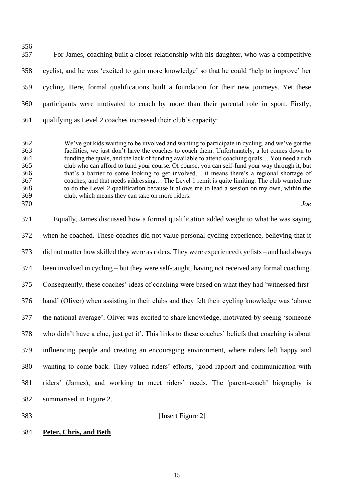For James, coaching built a closer relationship with his daughter, who was a competitive cyclist, and he was 'excited to gain more knowledge' so that he could 'help to improve' her cycling. Here, formal qualifications built a foundation for their new journeys. Yet these participants were motivated to coach by more than their parental role in sport. Firstly, qualifying as Level 2 coaches increased their club's capacity:

362 We've got kids wanting to be involved and wanting to participate in cycling, and we've got the 363 facilities, we just don't have the coaches to coach them. Unfortunately, a lot comes down to facilities, we just don't have the coaches to coach them. Unfortunately, a lot comes down to 364 funding the quals, and the lack of funding available to attend coaching quals... You need a rich<br>365 club who can afford to fund your course. Of course, you can self-fund your way through it, but 365 club who can afford to fund your course. Of course, you can self-fund your way through it, but 366 that's a barrier to some looking to get involved... it means there's a regional shortage of 366 that's a barrier to some looking to get involved... it means there's a regional shortage of coaches, and that needs addressing... The Level 1 remit is quite limiting. The club wanted me coaches, and that needs addressing... The Level 1 remit is quite limiting. The club wanted me to do the Level 2 qualification because it allows me to lead a session on my own, within the club, which means they can take on more riders.

*Joe*

 Equally, James discussed how a formal qualification added weight to what he was saying when he coached. These coaches did not value personal cycling experience, believing that it did not matter how skilled they were as riders. They were experienced cyclists – and had always been involved in cycling – but they were self-taught, having not received any formal coaching. Consequently, these coaches' ideas of coaching were based on what they had 'witnessed first- hand' (Oliver) when assisting in their clubs and they felt their cycling knowledge was 'above the national average'. Oliver was excited to share knowledge, motivated by seeing 'someone who didn't have a clue, just get it'. This links to these coaches' beliefs that coaching is about influencing people and creating an encouraging environment, where riders left happy and wanting to come back. They valued riders' efforts, 'good rapport and communication with riders' (James), and working to meet riders' needs. The 'parent-coach' biography is summarised in Figure 2.

[Insert Figure 2]

# **Peter, Chris, and Beth**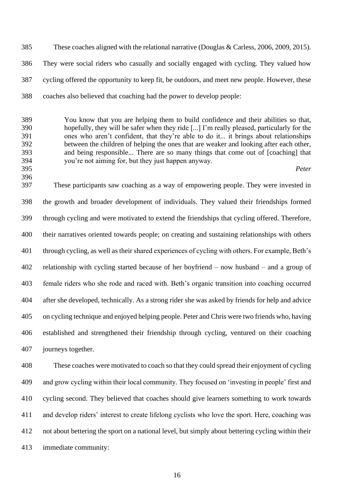These coaches aligned with the relational narrative (Douglas & Carless, 2006, 2009, 2015). They were social riders who casually and socially engaged with cycling. They valued how cycling offered the opportunity to keep fit, be outdoors, and meet new people. However, these coaches also believed that coaching had the power to develop people:

 You know that you are helping them to build confidence and their abilities so that, hopefully, they will be safer when they ride [...] I'm really pleased, particularly for the ones who aren't confident, that they're able to do it... it brings about relationships between the children of helping the ones that are weaker and looking after each other, and being responsible... There are so many things that come out of [coaching] that you're not aiming for, but they just happen anyway.

*Peter*

 These participants saw coaching as a way of empowering people. They were invested in the growth and broader development of individuals. They valued their friendships formed through cycling and were motivated to extend the friendships that cycling offered. Therefore, their narratives oriented towards people; on creating and sustaining relationships with others through cycling, as well as their shared experiences of cycling with others. For example, Beth's relationship with cycling started because of her boyfriend – now husband – and a group of female riders who she rode and raced with. Beth's organic transition into coaching occurred after she developed, technically. As a strong rider she was asked by friends for help and advice on cycling technique and enjoyed helping people. Peter and Chris were two friends who, having established and strengthened their friendship through cycling, ventured on their coaching journeys together.

 These coaches were motivated to coach so that they could spread their enjoyment of cycling and grow cycling within their local community. They focused on 'investing in people' first and cycling second. They believed that coaches should give learners something to work towards and develop riders' interest to create lifelong cyclists who love the sport. Here, coaching was not about bettering the sport on a national level, but simply about bettering cycling within their immediate community: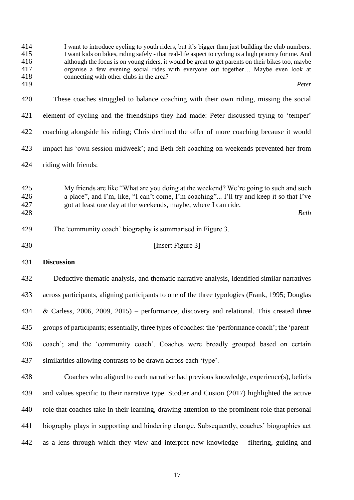I want to introduce cycling to youth riders, but it's bigger than just building the club numbers. 415 I want kids on bikes, riding safely - that real-life aspect to cycling is a high priority for me. And although the focus is on young riders, it would be great to get parents on their bikes too, maybe 416 although the focus is on young riders, it would be great to get parents on their bikes too, maybe<br>417 organise a few evening social rides with everyone out together... Maybe even look at 417 organise a few evening social rides with everyone out together... Maybe even look at connecting with other clubs in the area? 418 connecting with other clubs in the area?<br>419 *Peter*

- These coaches struggled to balance coaching with their own riding, missing the social element of cycling and the friendships they had made: Peter discussed trying to 'temper' coaching alongside his riding; Chris declined the offer of more coaching because it would impact his 'own session midweek'; and Beth felt coaching on weekends prevented her from
- riding with friends:

 My friends are like "What are you doing at the weekend? We're going to such and such a place", and I'm, like, "I can't come, I'm coaching"... I'll try and keep it so that I've got at least one day at the weekends, maybe, where I can ride. *Beth*

- The 'community coach' biography is summarised in Figure 3.
- 

## **Insert Figure 3**

# **Discussion**

 Deductive thematic analysis, and thematic narrative analysis, identified similar narratives across participants, aligning participants to one of the three typologies (Frank, 1995; Douglas & Carless, 2006, 2009, 2015) – performance, discovery and relational. This created three groups of participants; essentially, three types of coaches: the 'performance coach'; the 'parent- coach'; and the 'community coach'. Coaches were broadly grouped based on certain similarities allowing contrasts to be drawn across each 'type'.

 Coaches who aligned to each narrative had previous knowledge, experience(s), beliefs and values specific to their narrative type. Stodter and Cusion (2017) highlighted the active role that coaches take in their learning, drawing attention to the prominent role that personal biography plays in supporting and hindering change. Subsequently, coaches' biographies act as a lens through which they view and interpret new knowledge – filtering, guiding and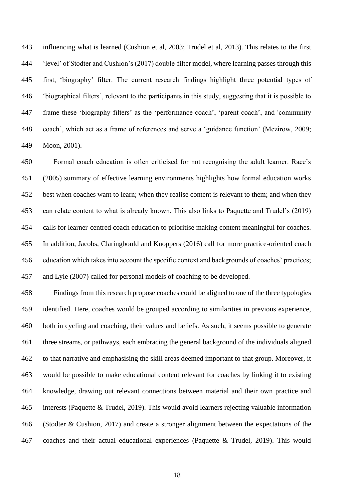influencing what is learned (Cushion et al, 2003; Trudel et al, 2013). This relates to the first 'level' of Stodter and Cushion's (2017) double-filter model, where learning passes through this first, 'biography' filter. The current research findings highlight three potential types of 'biographical filters', relevant to the participants in this study, suggesting that it is possible to frame these 'biography filters' as the 'performance coach', 'parent-coach', and 'community coach', which act as a frame of references and serve a 'guidance function' (Mezirow, 2009; Moon, 2001).

 Formal coach education is often criticised for not recognising the adult learner. Race's (2005) summary of effective learning environments highlights how formal education works best when coaches want to learn; when they realise content is relevant to them; and when they can relate content to what is already known. This also links to Paquette and Trudel's (2019) calls for learner-centred coach education to prioritise making content meaningful for coaches. In addition, Jacobs, Claringbould and Knoppers (2016) call for more practice-oriented coach education which takes into account the specific context and backgrounds of coaches' practices; and Lyle (2007) called for personal models of coaching to be developed.

 Findings from this research propose coaches could be aligned to one of the three typologies identified. Here, coaches would be grouped according to similarities in previous experience, both in cycling and coaching, their values and beliefs. As such, it seems possible to generate three streams, or pathways, each embracing the general background of the individuals aligned to that narrative and emphasising the skill areas deemed important to that group. Moreover, it would be possible to make educational content relevant for coaches by linking it to existing knowledge, drawing out relevant connections between material and their own practice and interests (Paquette & Trudel, 2019). This would avoid learners rejecting valuable information (Stodter & Cushion, 2017) and create a stronger alignment between the expectations of the coaches and their actual educational experiences (Paquette & Trudel, 2019). This would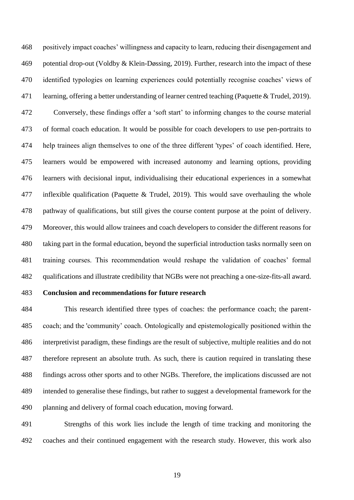positively impact coaches' willingness and capacity to learn, reducing their disengagement and potential drop-out (Voldby & Klein-Døssing, 2019). Further, research into the impact of these identified typologies on learning experiences could potentially recognise coaches' views of learning, offering a better understanding of learner centred teaching (Paquette & Trudel, 2019). Conversely, these findings offer a 'soft start' to informing changes to the course material of formal coach education. It would be possible for coach developers to use pen-portraits to help trainees align themselves to one of the three different 'types' of coach identified. Here, learners would be empowered with increased autonomy and learning options, providing learners with decisional input, individualising their educational experiences in a somewhat inflexible qualification (Paquette & Trudel, 2019). This would save overhauling the whole pathway of qualifications, but still gives the course content purpose at the point of delivery. Moreover, this would allow trainees and coach developers to consider the different reasons for taking part in the formal education, beyond the superficial introduction tasks normally seen on training courses. This recommendation would reshape the validation of coaches' formal qualifications and illustrate credibility that NGBs were not preaching a one-size-fits-all award.

# **Conclusion and recommendations for future research**

 This research identified three types of coaches: the performance coach; the parent- coach; and the 'community' coach. Ontologically and epistemologically positioned within the interpretivist paradigm, these findings are the result of subjective, multiple realities and do not therefore represent an absolute truth. As such, there is caution required in translating these findings across other sports and to other NGBs. Therefore, the implications discussed are not intended to generalise these findings, but rather to suggest a developmental framework for the planning and delivery of formal coach education, moving forward.

 Strengths of this work lies include the length of time tracking and monitoring the coaches and their continued engagement with the research study. However, this work also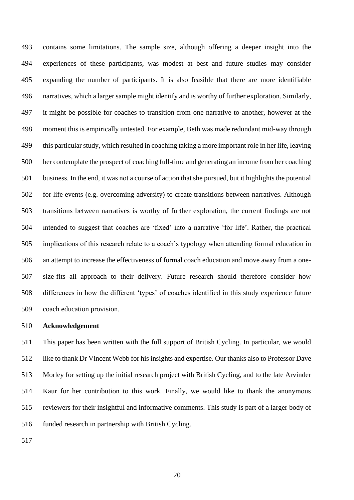contains some limitations. The sample size, although offering a deeper insight into the experiences of these participants, was modest at best and future studies may consider expanding the number of participants. It is also feasible that there are more identifiable narratives, which a larger sample might identify and is worthy of further exploration. Similarly, it might be possible for coaches to transition from one narrative to another, however at the moment this is empirically untested. For example, Beth was made redundant mid-way through this particular study, which resulted in coaching taking a more important role in her life, leaving her contemplate the prospect of coaching full-time and generating an income from her coaching business. In the end, it was not a course of action that she pursued, but it highlights the potential for life events (e.g. overcoming adversity) to create transitions between narratives. Although transitions between narratives is worthy of further exploration, the current findings are not intended to suggest that coaches are 'fixed' into a narrative 'for life'. Rather, the practical implications of this research relate to a coach's typology when attending formal education in an attempt to increase the effectiveness of formal coach education and move away from a one- size-fits all approach to their delivery. Future research should therefore consider how differences in how the different 'types' of coaches identified in this study experience future coach education provision.

#### **Acknowledgement**

 This paper has been written with the full support of British Cycling. In particular, we would like to thank Dr Vincent Webb for his insights and expertise. Our thanks also to Professor Dave Morley for setting up the initial research project with British Cycling, and to the late Arvinder Kaur for her contribution to this work. Finally, we would like to thank the anonymous reviewers for their insightful and informative comments. This study is part of a larger body of 516 funded research in partnership with British Cycling.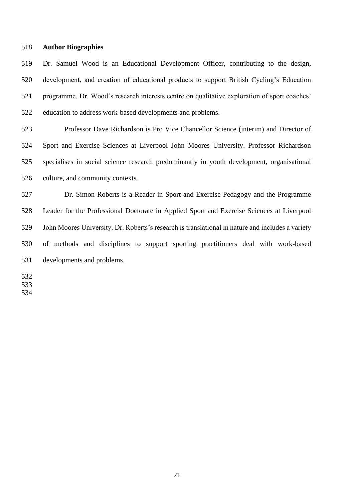#### **Author Biographies**

 Dr. Samuel Wood is an Educational Development Officer, contributing to the design, development, and creation of educational products to support British Cycling's Education programme. Dr. Wood's research interests centre on qualitative exploration of sport coaches' education to address work-based developments and problems.

 Professor Dave Richardson is Pro Vice Chancellor Science (interim) and Director of Sport and Exercise Sciences at Liverpool John Moores University. Professor Richardson specialises in social science research predominantly in youth development, organisational culture, and community contexts.

 Dr. Simon Roberts is a Reader in Sport and Exercise Pedagogy and the Programme Leader for the Professional Doctorate in Applied Sport and Exercise Sciences at Liverpool John Moores University. Dr. Roberts's research is translational in nature and includes a variety of methods and disciplines to support sporting practitioners deal with work-based developments and problems.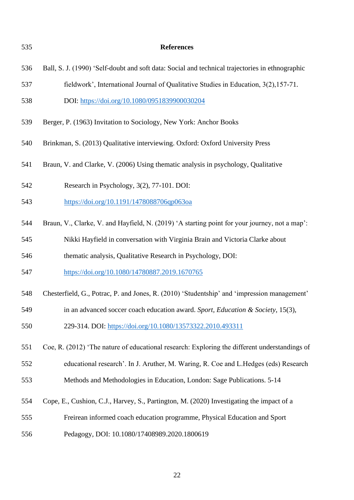| 535 | <b>References</b>                                                                               |
|-----|-------------------------------------------------------------------------------------------------|
| 536 | Ball, S. J. (1990) 'Self-doubt and soft data: Social and technical trajectories in ethnographic |
| 537 | fieldwork', International Journal of Qualitative Studies in Education, 3(2), 157-71.            |
| 538 | DOI: https://doi.org/10.1080/0951839900030204                                                   |
| 539 | Berger, P. (1963) Invitation to Sociology, New York: Anchor Books                               |
| 540 | Brinkman, S. (2013) Qualitative interviewing. Oxford: Oxford University Press                   |
| 541 | Braun, V. and Clarke, V. (2006) Using thematic analysis in psychology, Qualitative              |
| 542 | Research in Psychology, 3(2), 77-101. DOI:                                                      |
| 543 | https://doi.org/10.1191/1478088706qp063oa                                                       |
| 544 | Braun, V., Clarke, V. and Hayfield, N. (2019) 'A starting point for your journey, not a map':   |
| 545 | Nikki Hayfield in conversation with Virginia Brain and Victoria Clarke about                    |
| 546 | thematic analysis, Qualitative Research in Psychology, DOI:                                     |
| 547 | https://doi.org/10.1080/14780887.2019.1670765                                                   |
| 548 | Chesterfield, G., Potrac, P. and Jones, R. (2010) 'Studentship' and 'impression management'     |
| 549 | in an advanced soccer coach education award. Sport, Education & Society, 15(3),                 |
| 550 | 229-314. DOI: https://doi.org/10.1080/13573322.2010.493311                                      |
| 551 | Coe, R. (2012) 'The nature of educational research: Exploring the different understandings of   |
| 552 | educational research'. In J. Aruther, M. Waring, R. Coe and L. Hedges (eds) Research            |
| 553 | Methods and Methodologies in Education, London: Sage Publications. 5-14                         |
| 554 | Cope, E., Cushion, C.J., Harvey, S., Partington, M. (2020) Investigating the impact of a        |
| 555 | Freirean informed coach education programme, Physical Education and Sport                       |
| 556 | Pedagogy, DOI: 10.1080/17408989.2020.1800619                                                    |
|     |                                                                                                 |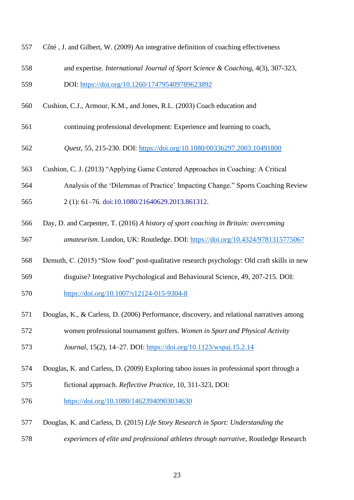| 557 | Côté, J. and Gilbert, W. (2009) An integrative definition of coaching effectiveness         |
|-----|---------------------------------------------------------------------------------------------|
| 558 | and expertise. International Journal of Sport Science & Coaching, 4(3), 307-323,            |
| 559 | DOI: https://doi.org/10.1260/174795409789623892                                             |
| 560 | Cushion, C.J., Armour, K.M., and Jones, R.L. (2003) Coach education and                     |
| 561 | continuing professional development: Experience and learning to coach,                      |
| 562 | Quest, 55, 215-230. DOI: https://doi.org/10.1080/00336297.2003.10491800                     |
| 563 | Cushion, C. J. (2013) "Applying Game Centered Approaches in Coaching: A Critical            |
| 564 | Analysis of the 'Dilemmas of Practice' Impacting Change." Sports Coaching Review            |
| 565 | 2 (1): 61-76. doi:10.1080/21640629.2013.861312.                                             |
| 566 | Day, D. and Carpenter, T. (2016) A history of sport coaching in Britain: overcoming         |
| 567 | amateurism. London, UK: Routledge. DOI: https://doi.org/10.4324/9781315775067               |
| 568 | Demuth, C. (2015) "Slow food" post-qualitative research psychology: Old craft skills in new |
| 569 | disguise? Integrative Psychological and Behavioural Science, 49, 207-215. DOI:              |
| 570 | https://doi.org/10.1007/s12124-015-9304-8                                                   |
| 571 | Douglas, K., & Carless, D. (2006) Performance, discovery, and relational narratives among   |
| 572 | women professional tournament golfers. Women in Sport and Physical Activity                 |
| 573 | Journal, 15(2), 14-27. DOI: https://doi.org/10.1123/wspaj.15.2.14                           |
| 574 | Douglas, K. and Carless, D. (2009) Exploring taboo issues in professional sport through a   |
| 575 | fictional approach. Reflective Practice, 10, 311-323, DOI:                                  |
| 576 | https://doi.org/10.1080/14623940903034630                                                   |
| 577 | Douglas, K. and Carless, D. (2015) Life Story Research in Sport: Understanding the          |
| 578 | experiences of elite and professional athletes through narrative, Routledge Research        |
|     |                                                                                             |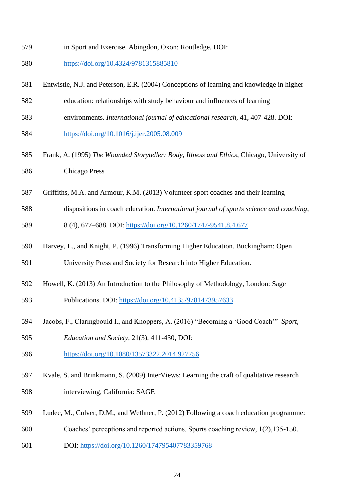- in Sport and Exercise. Abingdon, Oxon: Routledge. DOI:
- <https://doi.org/10.4324/9781315885810>
- Entwistle, N.J. and Peterson, E.R. (2004) Conceptions of learning and knowledge in higher
- education: relationships with study behaviour and influences of learning
- environments. *International journal of educational research*, 41, 407-428. DOI:
- <https://doi.org/10.1016/j.ijer.2005.08.009>
- Frank, A. (1995) *The Wounded Storyteller: Body, Illness and Ethics*, Chicago, University of Chicago Press
- Griffiths, M.A. and Armour, K.M. (2013) Volunteer sport coaches and their learning
- dispositions in coach education. *International journal of sports science and coaching*,
- 8 (4), 677–688. DOI:<https://doi.org/10.1260/1747-9541.8.4.677>
- Harvey, L., and Knight, P. (1996) Transforming Higher Education. Buckingham: Open

University Press and Society for Research into Higher Education.

- Howell, K. (2013) An Introduction to the Philosophy of Methodology, London: Sage
- Publications. DOI:<https://doi.org/10.4135/9781473957633>
- Jacobs, F., Claringbould I., and Knoppers, A. (2016) "Becoming a 'Good Coach'" *Sport,*
- *Education and Society*, 21(3), 411-430, DOI:
- <https://doi.org/10.1080/13573322.2014.927756>
- Kvale, S. and Brinkmann, S. (2009) InterViews: Learning the craft of qualitative research interviewing, California: SAGE
- Ludec, M., Culver, D.M., and Wethner, P. (2012) Following a coach education programme:
- Coaches' perceptions and reported actions. Sports coaching review, 1(2),135-150.
- DOI:<https://doi.org/10.1260/174795407783359768>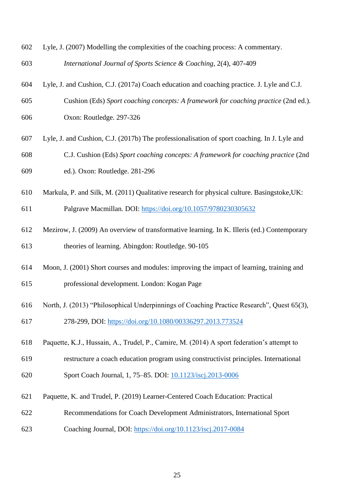| 602 | Lyle, J. (2007) Modelling the complexities of the coaching process: A commentary.            |
|-----|----------------------------------------------------------------------------------------------|
| 603 | International Journal of Sports Science & Coaching, 2(4), 407-409                            |
| 604 | Lyle, J. and Cushion, C.J. (2017a) Coach education and coaching practice. J. Lyle and C.J.   |
| 605 | Cushion (Eds) Sport coaching concepts: A framework for coaching practice (2nd ed.).          |
| 606 | Oxon: Routledge. 297-326                                                                     |
| 607 | Lyle, J. and Cushion, C.J. (2017b) The professionalisation of sport coaching. In J. Lyle and |
| 608 | C.J. Cushion (Eds) Sport coaching concepts: A framework for coaching practice (2nd           |
| 609 | ed.). Oxon: Routledge. 281-296                                                               |
| 610 | Markula, P. and Silk, M. (2011) Qualitative research for physical culture. Basingstoke, UK:  |
| 611 | Palgrave Macmillan. DOI: https://doi.org/10.1057/9780230305632                               |
| 612 | Mezirow, J. (2009) An overview of transformative learning. In K. Illeris (ed.) Contemporary  |
| 613 | theories of learning. Abingdon: Routledge. 90-105                                            |
| 614 | Moon, J. (2001) Short courses and modules: improving the impact of learning, training and    |
| 615 | professional development. London: Kogan Page                                                 |
| 616 | North, J. (2013) "Philosophical Underpinnings of Coaching Practice Research", Quest 65(3),   |
| 617 | 278-299, DOI: https://doi.org/10.1080/00336297.2013.773524                                   |
| 618 | Paquette, K.J., Hussain, A., Trudel, P., Camire, M. (2014) A sport federation's attempt to   |
| 619 | restructure a coach education program using constructivist principles. International         |
| 620 | Sport Coach Journal, 1, 75–85. DOI: 10.1123/iscj.2013-0006                                   |
| 621 | Paquette, K. and Trudel, P. (2019) Learner-Centered Coach Education: Practical               |
| 622 | Recommendations for Coach Development Administrators, International Sport                    |
| 623 | Coaching Journal, DOI: https://doi.org/10.1123/iscj.2017-0084                                |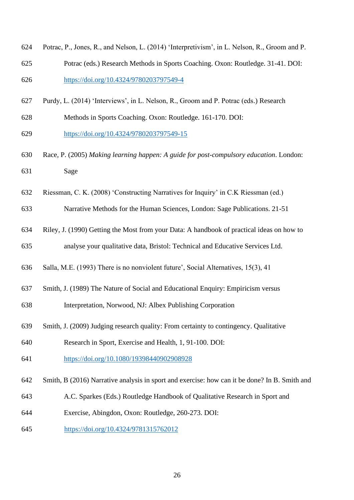| 624 | Potrac, P., Jones, R., and Nelson, L. (2014) 'Interpretivism', in L. Nelson, R., Groom and P. |
|-----|-----------------------------------------------------------------------------------------------|
| 625 | Potrac (eds.) Research Methods in Sports Coaching. Oxon: Routledge. 31-41. DOI:               |
| 626 | https://doi.org/10.4324/9780203797549-4                                                       |

- Purdy, L. (2014) 'Interviews', in L. Nelson, R., Groom and P. Potrac (eds.) Research
- Methods in Sports Coaching. Oxon: Routledge. 161-170. DOI:
- <https://doi.org/10.4324/9780203797549-15>
- Race, P. (2005) *Making learning happen: A guide for post-compulsory education*. London: Sage
- Riessman, C. K. (2008) 'Constructing Narratives for Inquiry' in C.K Riessman (ed.)
- Narrative Methods for the Human Sciences, London: Sage Publications. 21-51
- Riley, J. (1990) Getting the Most from your Data: A handbook of practical ideas on how to analyse your qualitative data, Bristol: Technical and Educative Services Ltd.
- Salla, M.E. (1993) There is no nonviolent future', Social Alternatives, 15(3), 41
- Smith, J. (1989) The Nature of Social and Educational Enquiry: Empiricism versus
- Interpretation, Norwood, NJ: Albex Publishing Corporation
- Smith, J. (2009) Judging research quality: From certainty to contingency. Qualitative
- Research in Sport, Exercise and Health, 1, 91-100. DOI:
- <https://doi.org/10.1080/19398440902908928>
- Smith, B (2016) Narrative analysis in sport and exercise: how can it be done? In B. Smith and
- A.C. Sparkes (Eds.) Routledge Handbook of Qualitative Research in Sport and
- Exercise, Abingdon, Oxon: Routledge, 260-273. DOI:
- <https://doi.org/10.4324/9781315762012>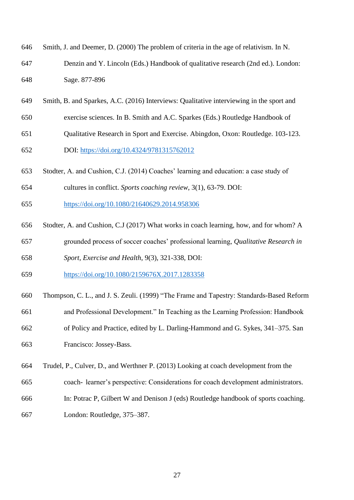- Smith, J. and Deemer, D. (2000) The problem of criteria in the age of relativism. In N. Denzin and Y. Lincoln (Eds.) Handbook of qualitative research (2nd ed.). London: Sage. 877-896
- Smith, B. and Sparkes, A.C. (2016) Interviews: Qualitative interviewing in the sport and
- exercise sciences. In B. Smith and A.C. Sparkes (Eds.) Routledge Handbook of
- Qualitative Research in Sport and Exercise. Abingdon, Oxon: Routledge. 103-123. DOI: <https://doi.org/10.4324/9781315762012>
- Stodter, A. and Cushion, C.J. (2014) Coaches' learning and education: a case study of
- cultures in conflict. *Sports coaching review*, 3(1), 63-79. DOI:
- <https://doi.org/10.1080/21640629.2014.958306>
- Stodter, A. and Cushion, C.J (2017) What works in coach learning, how, and for whom? A grounded process of soccer coaches' professional learning, *Qualitative Research in Sport, Exercise and Health*, 9(3), 321-338, DOI:
- <https://doi.org/10.1080/2159676X.2017.1283358>
- Thompson, C. L., and J. S. Zeuli. (1999) "The Frame and Tapestry: Standards-Based Reform
- and Professional Development." In Teaching as the Learning Profession: Handbook
- of Policy and Practice, edited by L. Darling-Hammond and G. Sykes, 341–375. San Francisco: Jossey-Bass.

Trudel, P., Culver, D., and Werthner P. (2013) Looking at coach development from the

- coach- learner's perspective: Considerations for coach development administrators.
- In: Potrac P, Gilbert W and Denison J (eds) Routledge handbook of sports coaching.
- London: Routledge, 375–387.